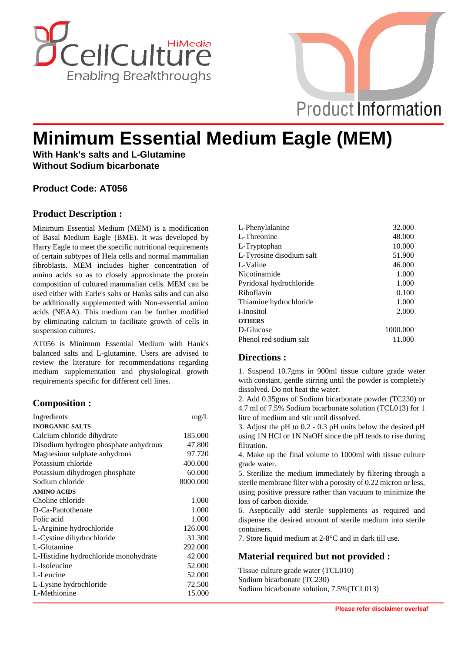



# **Minimum Essential Medium Eagle (MEM)**

**With Hank's salts and L-Glutamine Without Sodium bicarbonate**

## **Product Code: AT056**

## **Product Description :**

Minimum Essential Medium (MEM) is a modification of Basal Medium Eagle (BME). It was developed by Harry Eagle to meet the specific nutritional requirements of certain subtypes of Hela cells and normal mammalian fibroblasts. MEM includes higher concentration of amino acids so as to closely approximate the protein composition of cultured mammalian cells. MEM can be used either with Earle's salts or Hanks salts and can also be additionally supplemented with Non-essential amino acids (NEAA). This medium can be further modified by eliminating calcium to facilitate growth of cells in suspension cultures.

AT056 is Minimum Essential Medium with Hank's balanced salts and L-glutamine. Users are advised to review the literature for recommendations regarding medium supplementation and physiological growth requirements specific for different cell lines.

## **Composition :**

| Ingredients                           | mg/L     |
|---------------------------------------|----------|
| <b>INORGANIC SALTS</b>                |          |
| Calcium chloride dihydrate            | 185.000  |
| Disodium hydrogen phosphate anhydrous | 47.800   |
| Magnesium sulphate anhydrous          | 97.720   |
| Potassium chloride                    | 400.000  |
| Potassium dihydrogen phosphate        | 60.000   |
| Sodium chloride                       | 8000.000 |
| <b>AMINO ACIDS</b>                    |          |
| Choline chloride                      | 1.000    |
| D-Ca-Pantothenate                     | 1.000    |
| Folic acid                            | 1.000    |
| L-Arginine hydrochloride              | 126.000  |
| L-Cystine dihydrochloride             | 31.300   |
| L-Glutamine                           | 292.000  |
| L-Histidine hydrochloride monohydrate | 42.000   |
| L-Isoleucine                          | 52.000   |
| L-Leucine                             | 52.000   |
| L-Lysine hydrochloride                | 72.500   |
| L-Methionine                          | 15.000   |

| L-Phenylalanine          | 32.000   |
|--------------------------|----------|
| L-Threonine              | 48.000   |
| L-Tryptophan             | 10.000   |
| L-Tyrosine disodium salt | 51.900   |
| L-Valine                 | 46.000   |
| Nicotinamide             | 1.000    |
| Pyridoxal hydrochloride  | 1.000    |
| Riboflavin               | 0.100    |
| Thiamine hydrochloride   | 1.000    |
| <i>i</i> -Inositol       | 2.000    |
| <b>OTHERS</b>            |          |
| D-Glucose                | 1000.000 |
| Phenol red sodium salt   | 11.000   |
|                          |          |

## **Directions :**

1. Suspend 10.7gms in 900ml tissue culture grade water with constant, gentle stirring until the powder is completely dissolved. Do not heat the water.

2. Add 0.35gms of Sodium bicarbonate powder (TC230) or 4.7 ml of 7.5% Sodium bicarbonate solution (TCL013) for 1 litre of medium and stir until dissolved.

3. Adjust the pH to 0.2 - 0.3 pH units below the desired pH using 1N HCl or 1N NaOH since the pH tends to rise during filtration.

4. Make up the final volume to 1000ml with tissue culture grade water.

5. Sterilize the medium immediately by filtering through a sterile membrane filter with a porosity of 0.22 micron or less, using positive pressure rather than vacuum to minimize the loss of carbon dioxide.

6. Aseptically add sterile supplements as required and dispense the desired amount of sterile medium into sterile containers.

7. Store liquid medium at 2-8°C and in dark till use.

## **Material required but not provided :**

Tissue culture grade water (TCL010) Sodium bicarbonate (TC230) Sodium bicarbonate solution, 7.5%(TCL013)